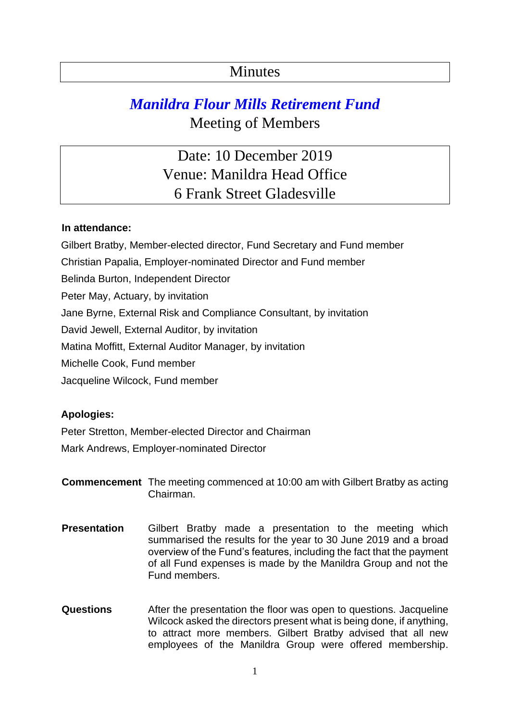## **Minutes**

## *Manildra Flour Mills Retirement Fund*  Meeting of Members

Date: 10 December 2019 Venue: Manildra Head Office 6 Frank Street Gladesville

## **In attendance:**

Gilbert Bratby, Member-elected director, Fund Secretary and Fund member Christian Papalia, Employer-nominated Director and Fund member Belinda Burton, Independent Director Peter May, Actuary, by invitation Jane Byrne, External Risk and Compliance Consultant, by invitation David Jewell, External Auditor, by invitation Matina Moffitt, External Auditor Manager, by invitation Michelle Cook, Fund member Jacqueline Wilcock, Fund member

## **Apologies:**

Peter Stretton, Member-elected Director and Chairman Mark Andrews, Employer-nominated Director

**Commencement** The meeting commenced at 10:00 am with Gilbert Bratby as acting Chairman.

- **Presentation** Gilbert Bratby made a presentation to the meeting which summarised the results for the year to 30 June 2019 and a broad overview of the Fund's features, including the fact that the payment of all Fund expenses is made by the Manildra Group and not the Fund members.
- **Questions** After the presentation the floor was open to questions. Jacqueline Wilcock asked the directors present what is being done, if anything, to attract more members. Gilbert Bratby advised that all new employees of the Manildra Group were offered membership.